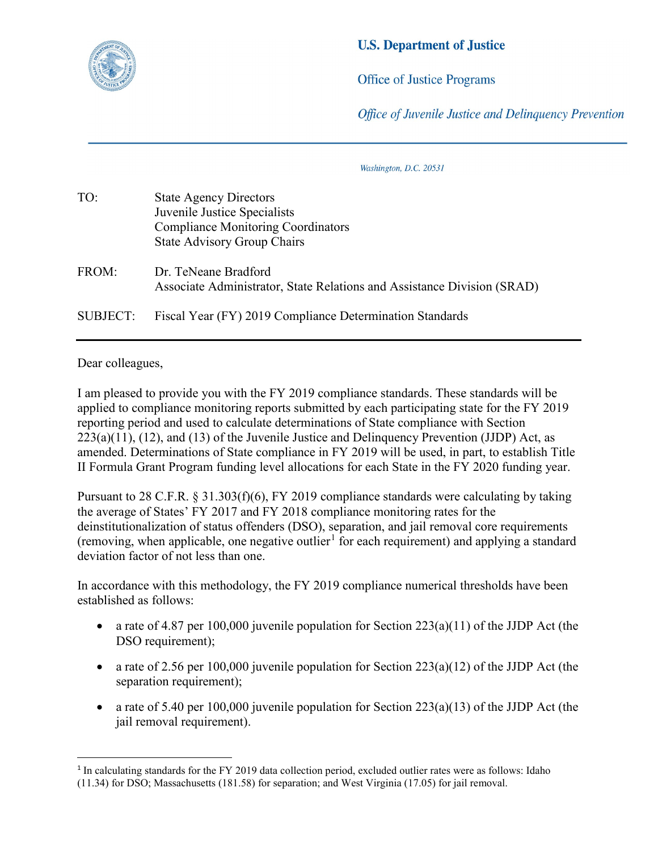

## **U.S. Department of Justice**

**Office of Justice Programs** 

Office of Juvenile Justice and Delinguency Prevention

Washington, D.C. 20531

| TO:             | <b>State Agency Directors</b>                                           |
|-----------------|-------------------------------------------------------------------------|
|                 | Juvenile Justice Specialists                                            |
|                 | <b>Compliance Monitoring Coordinators</b>                               |
|                 | <b>State Advisory Group Chairs</b>                                      |
| FROM:           | Dr. TeNeane Bradford                                                    |
|                 | Associate Administrator, State Relations and Assistance Division (SRAD) |
| <b>SUBJECT:</b> | Fiscal Year (FY) 2019 Compliance Determination Standards                |
|                 |                                                                         |

Dear colleagues,

 $\overline{a}$ 

I am pleased to provide you with the FY 2019 compliance standards. These standards will be applied to compliance monitoring reports submitted by each participating state for the FY 2019 reporting period and used to calculate determinations of State compliance with Section  $223(a)(11)$ ,  $(12)$ , and  $(13)$  of the Juvenile Justice and Delinquency Prevention (JJDP) Act, as amended. Determinations of State compliance in FY 2019 will be used, in part, to establish Title II Formula Grant Program funding level allocations for each State in the FY 2020 funding year.

Pursuant to 28 C.F.R. § 31.303(f)(6), FY 2019 compliance standards were calculating by taking the average of States' FY 2017 and FY 2018 compliance monitoring rates for the deinstitutionalization of status offenders (DSO), separation, and jail removal core requirements (removing, when applicable, one negative outlier<sup>[1](#page-0-0)</sup> for each requirement) and applying a standard deviation factor of not less than one.

In accordance with this methodology, the FY 2019 compliance numerical thresholds have been established as follows:

- a rate of 4.87 per 100,000 juvenile population for Section  $223(a)(11)$  of the JJDP Act (the DSO requirement);
- a rate of 2.56 per 100,000 juvenile population for Section  $223(a)(12)$  of the JJDP Act (the separation requirement);
- a rate of 5.40 per 100,000 juvenile population for Section  $223(a)(13)$  of the JJDP Act (the jail removal requirement).

<span id="page-0-0"></span><sup>&</sup>lt;sup>1</sup> In calculating standards for the FY 2019 data collection period, excluded outlier rates were as follows: Idaho (11.34) for DSO; Massachusetts (181.58) for separation; and West Virginia (17.05) for jail removal.